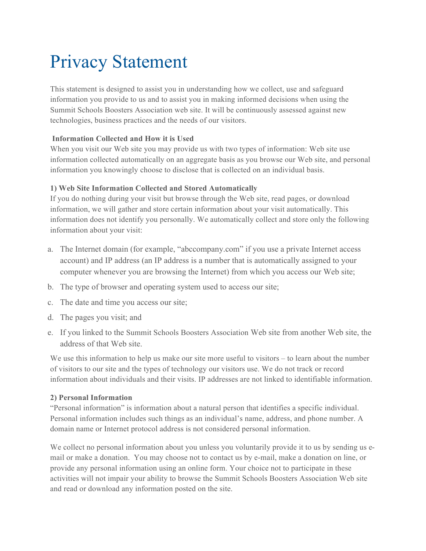# Privacy Statement

This statement is designed to assist you in understanding how we collect, use and safeguard information you provide to us and to assist you in making informed decisions when using the Summit Schools Boosters Association web site. It will be continuously assessed against new technologies, business practices and the needs of our visitors.

## **Information Collected and How it is Used**

When you visit our Web site you may provide us with two types of information: Web site use information collected automatically on an aggregate basis as you browse our Web site, and personal information you knowingly choose to disclose that is collected on an individual basis.

## **1) Web Site Information Collected and Stored Automatically**

If you do nothing during your visit but browse through the Web site, read pages, or download information, we will gather and store certain information about your visit automatically. This information does not identify you personally. We automatically collect and store only the following information about your visit:

- a. The Internet domain (for example, "abccompany.com" if you use a private Internet access account) and IP address (an IP address is a number that is automatically assigned to your computer whenever you are browsing the Internet) from which you access our Web site;
- b. The type of browser and operating system used to access our site;
- c. The date and time you access our site;
- d. The pages you visit; and
- e. If you linked to the Summit Schools Boosters Association Web site from another Web site, the address of that Web site.

We use this information to help us make our site more useful to visitors – to learn about the number of visitors to our site and the types of technology our visitors use. We do not track or record information about individuals and their visits. IP addresses are not linked to identifiable information.

## **2) Personal Information**

"Personal information" is information about a natural person that identifies a specific individual. Personal information includes such things as an individual's name, address, and phone number. A domain name or Internet protocol address is not considered personal information.

We collect no personal information about you unless you voluntarily provide it to us by sending us email or make a donation. You may choose not to contact us by e-mail, make a donation on line, or provide any personal information using an online form. Your choice not to participate in these activities will not impair your ability to browse the Summit Schools Boosters Association Web site and read or download any information posted on the site.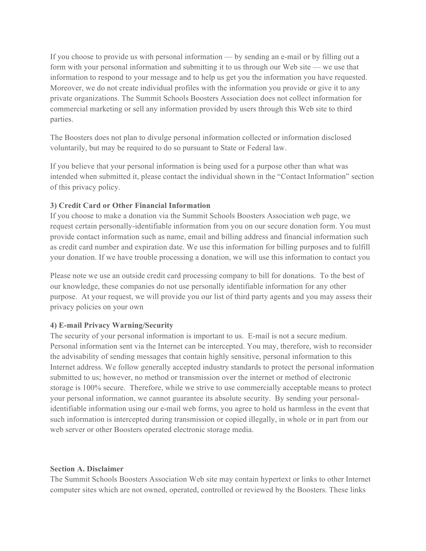If you choose to provide us with personal information — by sending an e-mail or by filling out a form with your personal information and submitting it to us through our Web site — we use that information to respond to your message and to help us get you the information you have requested. Moreover, we do not create individual profiles with the information you provide or give it to any private organizations. The Summit Schools Boosters Association does not collect information for commercial marketing or sell any information provided by users through this Web site to third parties.

The Boosters does not plan to divulge personal information collected or information disclosed voluntarily, but may be required to do so pursuant to State or Federal law.

If you believe that your personal information is being used for a purpose other than what was intended when submitted it, please contact the individual shown in the "Contact Information" section of this privacy policy.

### **3) Credit Card or Other Financial Information**

If you choose to make a donation via the Summit Schools Boosters Association web page, we request certain personally-identifiable information from you on our secure donation form. You must provide contact information such as name, email and billing address and financial information such as credit card number and expiration date. We use this information for billing purposes and to fulfill your donation. If we have trouble processing a donation, we will use this information to contact you

Please note we use an outside credit card processing company to bill for donations. To the best of our knowledge, these companies do not use personally identifiable information for any other purpose. At your request, we will provide you our list of third party agents and you may assess their privacy policies on your own

### **4) E-mail Privacy Warning/Security**

The security of your personal information is important to us. E-mail is not a secure medium. Personal information sent via the Internet can be intercepted. You may, therefore, wish to reconsider the advisability of sending messages that contain highly sensitive, personal information to this Internet address. We follow generally accepted industry standards to protect the personal information submitted to us; however, no method or transmission over the internet or method of electronic storage is 100% secure. Therefore, while we strive to use commercially acceptable means to protect your personal information, we cannot guarantee its absolute security. By sending your personalidentifiable information using our e-mail web forms, you agree to hold us harmless in the event that such information is intercepted during transmission or copied illegally, in whole or in part from our web server or other Boosters operated electronic storage media.

#### **Section A. Disclaimer**

The Summit Schools Boosters Association Web site may contain hypertext or links to other Internet computer sites which are not owned, operated, controlled or reviewed by the Boosters. These links